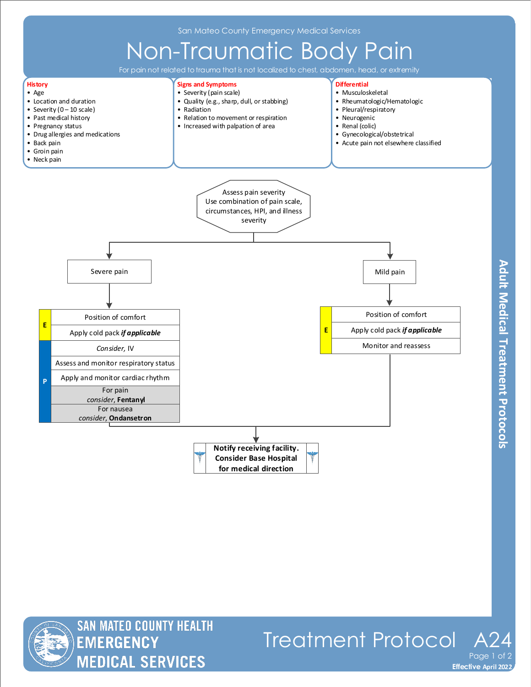